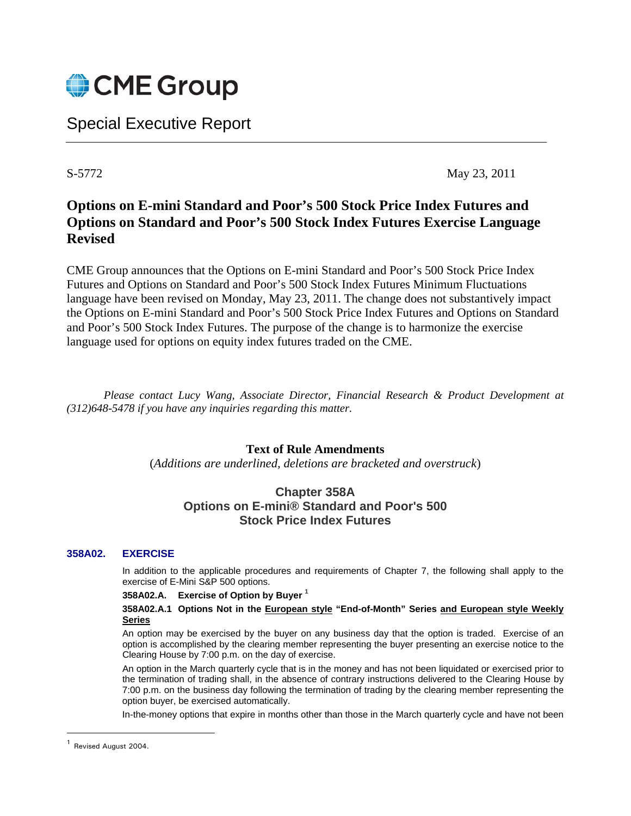

# Special Executive Report

S-5772 May 23, 2011

## **Options on E-mini Standard and Poor's 500 Stock Price Index Futures and Options on Standard and Poor's 500 Stock Index Futures Exercise Language Revised**

CME Group announces that the Options on E-mini Standard and Poor's 500 Stock Price Index Futures and Options on Standard and Poor's 500 Stock Index Futures Minimum Fluctuations language have been revised on Monday, May 23, 2011. The change does not substantively impact the Options on E-mini Standard and Poor's 500 Stock Price Index Futures and Options on Standard and Poor's 500 Stock Index Futures. The purpose of the change is to harmonize the exercise language used for options on equity index futures traded on the CME.

*Please contact Lucy Wang, Associate Director, Financial Research & Product Development at (312)648-5478 if you have any inquiries regarding this matter.* 

## **Text of Rule Amendments**

(*Additions are underlined, deletions are bracketed and overstruck*)

## **Chapter 358A Options on E-mini® Standard and Poor's 500 Stock Price Index Futures**

### **358A02. EXERCISE**

In addition to the applicable procedures and requirements of Chapter 7, the following shall apply to the exercise of E-Mini S&P 500 options.

#### **358A02.A. Exercise of Option by Buyer 1**

#### **358A02.A.1 Options Not in the European style "End-of-Month" Series and European style Weekly Series**

An option may be exercised by the buyer on any business day that the option is traded. Exercise of an option is accomplished by the clearing member representing the buyer presenting an exercise notice to the Clearing House by 7:00 p.m. on the day of exercise.

An option in the March quarterly cycle that is in the money and has not been liquidated or exercised prior to the termination of trading shall, in the absence of contrary instructions delivered to the Clearing House by 7:00 p.m. on the business day following the termination of trading by the clearing member representing the option buyer, be exercised automatically.

In-the-money options that expire in months other than those in the March quarterly cycle and have not been

<sup>1</sup> Revised August 2004.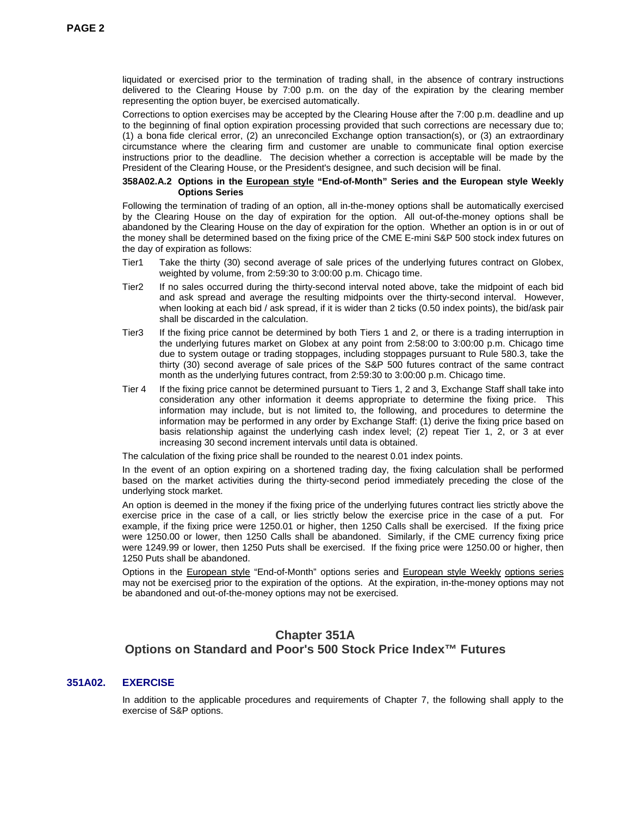liquidated or exercised prior to the termination of trading shall, in the absence of contrary instructions delivered to the Clearing House by 7:00 p.m. on the day of the expiration by the clearing member representing the option buyer, be exercised automatically.

Corrections to option exercises may be accepted by the Clearing House after the 7:00 p.m. deadline and up to the beginning of final option expiration processing provided that such corrections are necessary due to; (1) a bona fide clerical error, (2) an unreconciled Exchange option transaction(s), or (3) an extraordinary circumstance where the clearing firm and customer are unable to communicate final option exercise instructions prior to the deadline. The decision whether a correction is acceptable will be made by the President of the Clearing House, or the President's designee, and such decision will be final.

#### **358A02.A.2 Options in the European style "End-of-Month" Series and the European style Weekly Options Series**

Following the termination of trading of an option, all in-the-money options shall be automatically exercised by the Clearing House on the day of expiration for the option. All out-of-the-money options shall be abandoned by the Clearing House on the day of expiration for the option. Whether an option is in or out of the money shall be determined based on the fixing price of the CME E-mini S&P 500 stock index futures on the day of expiration as follows:

- Tier1 Take the thirty (30) second average of sale prices of the underlying futures contract on Globex, weighted by volume, from 2:59:30 to 3:00:00 p.m. Chicago time.
- Tier2 If no sales occurred during the thirty-second interval noted above, take the midpoint of each bid and ask spread and average the resulting midpoints over the thirty-second interval. However, when looking at each bid / ask spread, if it is wider than 2 ticks (0.50 index points), the bid/ask pair shall be discarded in the calculation.
- Tier3 If the fixing price cannot be determined by both Tiers 1 and 2, or there is a trading interruption in the underlying futures market on Globex at any point from 2:58:00 to 3:00:00 p.m. Chicago time due to system outage or trading stoppages, including stoppages pursuant to Rule 580.3, take the thirty (30) second average of sale prices of the S&P 500 futures contract of the same contract month as the underlying futures contract, from 2:59:30 to 3:00:00 p.m. Chicago time.
- Tier 4 If the fixing price cannot be determined pursuant to Tiers 1, 2 and 3, Exchange Staff shall take into consideration any other information it deems appropriate to determine the fixing price. This information may include, but is not limited to, the following, and procedures to determine the information may be performed in any order by Exchange Staff: (1) derive the fixing price based on basis relationship against the underlying cash index level; (2) repeat Tier 1, 2, or 3 at ever increasing 30 second increment intervals until data is obtained.

The calculation of the fixing price shall be rounded to the nearest 0.01 index points.

In the event of an option expiring on a shortened trading day, the fixing calculation shall be performed based on the market activities during the thirty-second period immediately preceding the close of the underlying stock market.

An option is deemed in the money if the fixing price of the underlying futures contract lies strictly above the exercise price in the case of a call, or lies strictly below the exercise price in the case of a put. For example, if the fixing price were 1250.01 or higher, then 1250 Calls shall be exercised. If the fixing price were 1250.00 or lower, then 1250 Calls shall be abandoned. Similarly, if the CME currency fixing price were 1249.99 or lower, then 1250 Puts shall be exercised. If the fixing price were 1250.00 or higher, then 1250 Puts shall be abandoned.

Options in the European style "End-of-Month" options series and European style Weekly options series may not be exercised prior to the expiration of the options. At the expiration, in-the-money options may not be abandoned and out-of-the-money options may not be exercised.

## **Chapter 351A Options on Standard and Poor's 500 Stock Price Index™ Futures**

#### **351A02. EXERCISE**

In addition to the applicable procedures and requirements of Chapter 7, the following shall apply to the exercise of S&P options.